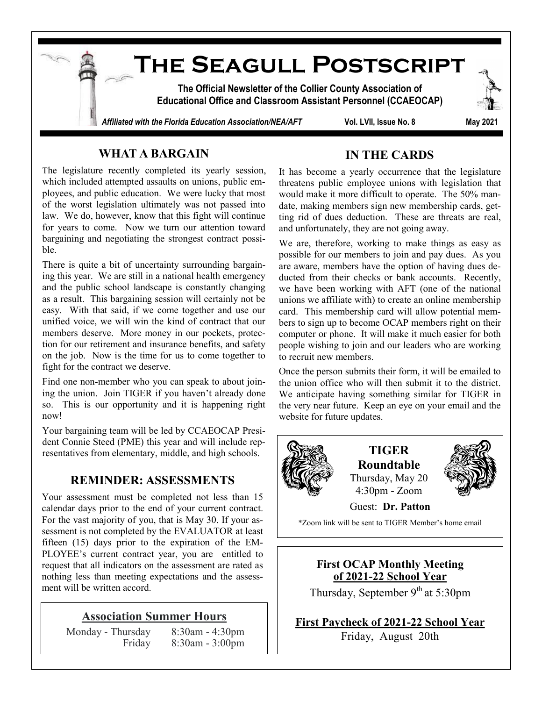

## **WHAT A BARGAIN**

The legislature recently completed its yearly session, which included attempted assaults on unions, public employees, and public education. We were lucky that most of the worst legislation ultimately was not passed into law. We do, however, know that this fight will continue for years to come. Now we turn our attention toward bargaining and negotiating the strongest contract possible.

There is quite a bit of uncertainty surrounding bargaining this year. We are still in a national health emergency and the public school landscape is constantly changing as a result. This bargaining session will certainly not be easy. With that said, if we come together and use our unified voice, we will win the kind of contract that our members deserve. More money in our pockets, protection for our retirement and insurance benefits, and safety on the job. Now is the time for us to come together to fight for the contract we deserve.

Find one non-member who you can speak to about joining the union. Join TIGER if you haven't already done so. This is our opportunity and it is happening right now!

Your bargaining team will be led by CCAEOCAP President Connie Steed (PME) this year and will include representatives from elementary, middle, and high schools.

## **REMINDER: ASSESSMENTS**

Your assessment must be completed not less than 15 calendar days prior to the end of your current contract. For the vast majority of you, that is May 30. If your assessment is not completed by the EVALUATOR at least fifteen (15) days prior to the expiration of the EM-PLOYEE's current contract year, you are entitled to request that all indicators on the assessment are rated as nothing less than meeting expectations and the assessment will be written accord.

#### **Association Summer Hours**

Monday - Thursday 8:30am - 4:30pm Friday 8:30am - 3:00pm

### **IN THE CARDS**

It has become a yearly occurrence that the legislature threatens public employee unions with legislation that would make it more difficult to operate. The 50% mandate, making members sign new membership cards, getting rid of dues deduction. These are threats are real, and unfortunately, they are not going away.

We are, therefore, working to make things as easy as possible for our members to join and pay dues. As you are aware, members have the option of having dues deducted from their checks or bank accounts. Recently, we have been working with AFT (one of the national unions we affiliate with) to create an online membership card. This membership card will allow potential members to sign up to become OCAP members right on their computer or phone. It will make it much easier for both people wishing to join and our leaders who are working to recruit new members.

Once the person submits their form, it will be emailed to the union office who will then submit it to the district. We anticipate having something similar for TIGER in the very near future. Keep an eye on your email and the website for future updates.



**TIGER Roundtable** Thursday, May 20 4:30pm - Zoom



Guest: **Dr. Patton**

\*Zoom link will be sent to TIGER Member's home email

**First OCAP Monthly Meeting of 2021-22 School Year**

Thursday, September  $9<sup>th</sup>$  at 5:30pm

**First Paycheck of 2021-22 School Year** Friday, August 20th